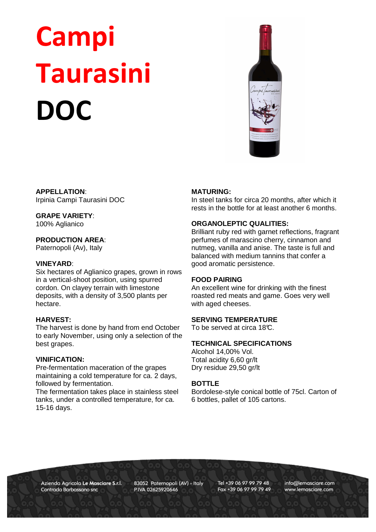# Campi Taurasini DOC



**APPELLATION**: Irpinia Campi Taurasini DOC

# **GRAPE VARIETY**:

100% Aglianico

# **PRODUCTION AREA**:

Paternopoli (Av), Italy

# **VINEYARD**:

Six hectares of Aglianico grapes, grown in rows in a vertical-shoot position, using spurred cordon. On clayey terrain with limestone deposits, with a density of 3,500 plants per hectare.

#### **HARVEST:**

The harvest is done by hand from end October to early November, using only a selection of the best grapes.

#### **VINIFICATION:**

Pre-fermentation maceration of the grapes maintaining a cold temperature for ca. 2 days, followed by fermentation.

The fermentation takes place in stainless steel tanks, under a controlled temperature, for ca. 15-16 days.

#### **MATURING:**

In steel tanks for circa 20 months, after which it rests in the bottle for at least another 6 months.

## **ORGANOLEPTIC QUALITIES:**

Brilliant ruby red with garnet reflections, fragrant perfumes of marascino cherry, cinnamon and nutmeg, vanilla and anise. The taste is full and balanced with medium tannins that confer a good aromatic persistence.

#### **FOOD PAIRING**

An excellent wine for drinking with the finest roasted red meats and game. Goes very well with aged cheeses.

#### **SERVING TEMPERATURE**

To be served at circa 18°C.

# **TECHNICAL SPECIFICATIONS**

Alcohol 14,00% Vol. Total acidity 6,60 gr/lt Dry residue 29,50 gr/lt

#### **BOTTLE**

Bordolese-style conical bottle of 75cl. Carton of 6 bottles, pallet of 105 cartons.

Azienda Agricola Le Masciare S.r.l. Contrada Barbassano snc

83052 Paternopoli (AV) - Italy P.IVA 02625920646

Tel +39 06 97 99 79 48 Fax +39 06 97 99 79 49 info@lemasciare.com www.lemasciare.com